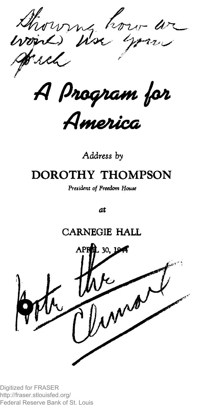thor  $r$  are  $\mu'$ *A ß n X H f f t G M t j p s i*

*A m e b ic a*

*Address by*

## **DOROTHY THOMPSON**

*President of Freedom House*

*at*

### **CARNEGIE HALL**

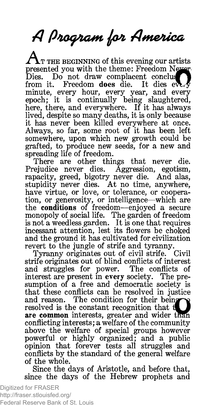# *A finosf/iofto jpJi AmetUca*

 $\Delta$  t the beginning of this evening our artists presented you with the theme: Freedom Never-<br>Dies. Do not draw complacent conclus Dies. Do not draw complacent conclust<br>from it. Freedom does die. It dies eve Freedom does die. It dies ever minute, every hour, every year, and every epoch; it is continually being slaughtered, here, there, and everywhere. If it has always lived, despite so many deaths, it is only because it has never been killed everywhere at once. Always, so far, some root of it has been left somewhere, upon which new growth could be grafted, to produce new seeds, for a new and spreading life of freedom.

There are other things that never die. Prejudice never dies. Aggression, egotism, rapacity, greed, bigotry never die. And alas, stupidity never dies. At no time, anywhere, have virtue, or love, or tolerance, or cooperation, or generosity, or intelligence—which are the conditions of freedom—enjoyed a secure monopoly of social life. The garden of freedom is not a weedless garden. It is one that requires incessant attention, lest its flowers be choked and the ground it has cultivated for civilization revert to the jungle of strife and tyranny.<br>Tyranny originates out of civil strife. Civil

Tyranny originates out of civil strife. strife originates out of blind conflicts of interest and struggles for power. The conflicts of interest are present in every society. The presumption of a free and democratic society is that these conflicts can be resolved in justice and reason. The condition for their being resolved is the constant recognition that are common interests, greater and wider than conflicting interests; a welfare of the community above the welfare of special groups however powerful or highly organized; and a public opinion that forever tests all struggles and conflicts by the standard of the general welfare of the whole.

Since the days of Aristotle, and before that, since the days of the Hebrew prophets and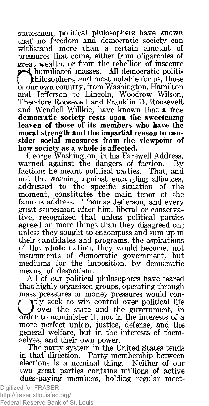statesmen, political philosophers have known that} no freedom and democratic society can withstand more than a certain amount of pressures that come, either from oligarchies of great wealth, or from the rebellion of insecure I humiliated masses. All democratic politi-<br>hilosophers, and most notable for us, those

 ${\bf b}$  our own country, from Washington, Hamilton and Jefferson to Lincoln, Woodrow Wilson, Theodore Roosevelt and Franklin D. Roosevelt and Wendell Willkie, have known that a free democratic society rests upon the sweetening leaven of those of its members who have the moral strength and the impartial reason to consider social measures from the viewpoint of how society as a whole is affected.

George Washington, in his Farewell Address, warned against the dangers of faction. By factions he meant political parties. That, and not the warning against entangling alliances, addressed to the specific situation of the moment, constitutes the main tenor of the famous address. Thomas Jefferson, and every great statesman after him, liberal or conservative, recognized that unless political parties agreed on more things than they disagreed on; unless they sought to encompass and sum up in their candidates and programs, the aspirations of the whole nation, they would become, not instruments of democratic government, but mediums for the imposition, by democratic means, of despotism.

All of our political philosophers have feared that highly organized groups, operating through mass pressures or money pressures would con**y** ty seek to win control over political life over the state and the government, in order to administer it, not in the interests of a more perfect union, justice, defense, and the tly seek to win control over political life **J** over the state and the government, in order to administer it, not in the interests of a general welfare, but in the interests of themselves, and their own power.

The party system in the United States tends in that direction. Party membership between elections is a nominal thing. Neither of our two great parties contains millions of active dues-paying members, holding regular meet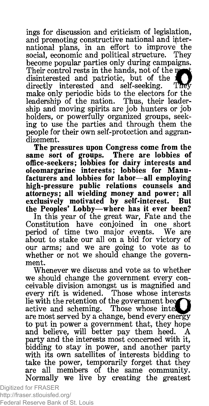ings for discussion and criticism of legislation, and promoting constructive national and international plans, in an effort to improve the social, economic and political structure. They become popular parties only during campaigns. Their control rests in the hands, not of the ma disinterested and patriotic, but of the directly interested and self-seeking. They make only periodic bids to the electors for the leadership of the nation. Thus, their leaderleadership of the nation. ship and moving spirits are job hunters or job holders, or powerfully organized groups, seeking to use the parties and through them the people for their own self-protection and aggrandizement.

The pressures upon Congress come from the same sort of groups. There are lobbies of office-seekers; lobbies for dairy interests and oleomargarine interests; lobbies for Manufacturers and lobbies for labor—all employing high-pressure public relations counsels and attorneys; all wielding money and power; all exclusively motivated by self-interest. But the Peoples' Lobby—where has it ever been?

In this year of the great war, Fate and the<br>Constitution have conjoined in one short have conjoined in one short<br>he two major events. We are period of time two major events. about to stake our all on a bid for victory of our arms; and we are going to vote as to whether or not we should change the government.

Whenever we discuss and vote as to whether we should change the government every conceivable division amongst us is magnified and every rift is widened. Those whose interests lie with the retention of the government be<^**1**<sup>|</sup> active and scheming. Those whose inter are most served by a change, bend every energy to put in power a government that, they hope and believe, will better pay them heed. party and the interests most concerned with it, bidding to stay in power, and another party with its own satellites of interests bidding to take the power, temporarily forget that they are all members of the same community. Normally we live by creating the greatest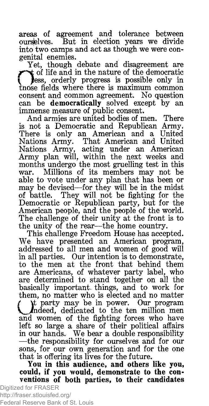areas of agreement and tolerance between ourselves. But in election years we divide into two camps and act as though we were congenital enemies.

Yet, though debate and disagreement are  $\sum_{\text{choose} \text{conses}}$ of life and in the nature of the democratic less, orderly progress is possible only in the fields where there is maximum common consent and common agreement. No question can be democratically solved except by an immense measure of public consent.

And armies are united bodies of men. There is not a Democratic and Republican Army. There is only an American and a United Nations Army. That American and United Nations Army, acting under an American Army plan will, within the next weeks and months undergo the most gruelling test in this war. Millions of its members may not be able to vote under any plan that has been or may be devised—for they will be in the midst of battle. They will not be fighting for the Democratic or Republican party, but for the American people, and the people of the world. The challenge of their unity at the front is to the unity of the rear—the home country.

This challenge Freedom House has accepted. We have presented an American program, addressed to all men and women of good will in all parties. Our intention is to demonstrate, to the men at the front that behind them are Americans, of whatever party label, who are determined to stand together on all the basically important, things, and to work for them, no matter who is elected and no matter *f* |t party may be in power. Our program *Indeed*, dedicated to the ten million men and women of the fighting forces who have left so large a share of their political affairs in our hands. We bear a double responsibility —the responsibility for ourselves and for our sons, for our own generation and for the one that is offering its lives for the future.

You in this audience, and others like you, could, if you would, demonstrate to the conventions of both parties, to their candidates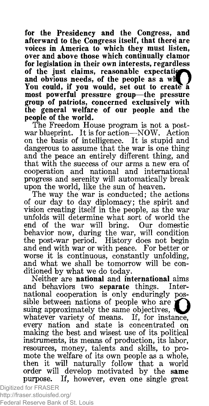for the Presidency and the Congress, and afterward to the Congress itself, that there are voices in America to which they must listen, over and above those which continually clamor for legislation in their own interests, regardless of the just claims, reasonable expectation and obvious needs, of the people as a wh You could, if you would, set out to create a most powerful pressure group—the pressure group of patriots, concerned exclusively with the general welfare of our people and the people of the world.

The Freedom House program is not a postwar blueprint. It is for action—NOW. Action on the basis of intelligence. It is stupid and dangerous to assume that the war is one thing and the peace an entirely different thing, and that with the success of our arms a new era of cooperation and national and international progress and serenity will automatically break upon the world, like the sun of heaven.

The way the war is conducted; the actions of our day to day diplomacy; the spirit and vision creating itself in the people, as the war unfolds will determine what sort of world the end of the war will bring. Our domestic behavior now, during the war, will condition the post-war period. History does not begin and end with war or with peace. For better or worse it is continuous, constantly unfolding, and what we shall be tomorrow will be conditioned by what we do today.

Neither are national and international aims and behaviors two separate things. International cooperation is only enduringly possible between nations of people who are suing approximately the same objectives, whatever variety of means. If, for instance, every nation and state is concentrated on making the best and wisest use of its political instruments, its means of production, its labor, resources, money, talents and skills, to promote the welfare of its own people as a whole, then it will naturally follow that a world order will develop motivated by the same purpose. If, however, even one single great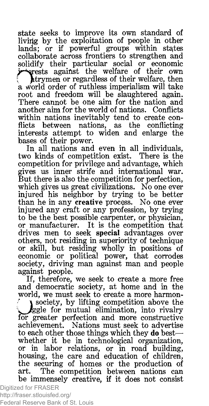state seeks to improve its own standard of livirig by the exploitation of people in other lands; or if powerful groups within states collaborate across frontiers to strengthen and solidify their particular social or economic a wo<br>root ests against the welfare of their own htrymen or regardless of their welfare, then rld order of ruthless imperialism will take root and freedom will be slaughtered again. There cannot be one aim for the nation and another aim for the world of nations. Conflicts within nations inevitably tend to create conflicts between nations, as the conflicting interests attempt to widen and enlarge the bases of their power.

In all nations and even in all individuals, two kinds of competition exist. There is the competition for privilege and advantage, which gives us inner strife and international war. But there is also the competition for perfection, which gives us great civilizations. No one ever injured his neighbor by trying to be better than he in any creative process. No one ever injured any craft or any profession, by trying to be the best possible carpenter, or physician, or manufacturer. It is the competition that drives men to seek special advantages over others, not residing in superiority of technique or skill, but residing wholly in positions of economic or political power, that corrodes society, driving man against man and people against people.

If, therefore, we seek to create a more free and democratic society, at home and in the world, we must seek to create a more harmon- $\bigcup_{\substack{\text{for }g\text{achie}}}$ l society, by lifting competition above the ggle for mutual elimination, into rivalry greater perfection and more constructive achievement. Nations must seek to advertise to each other those things which they do best whether it be in technological organization, or in labor relations, or in road building, housing, the care and education of children, the securing of homes or the production of art.^ The competition between nations can be immensely creative, if it does not consist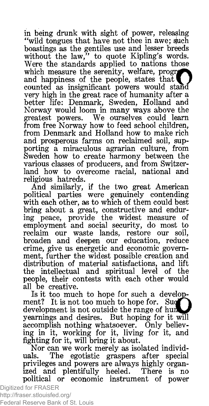in being drunk with sight of power, releasing "wild tongues that have not thee in awe; such boastings as the gentiles use and lesser breeds without the law," to quote Kipling's words. Were the standards applied to nations those which measure the serenity, welfare, progress and happiness of the people, states that counted as insignificant powers would stand very high in the great race of humanity after a better life: Denmark, Sweden, Holland and Norway would loom in many ways above the greatest powers. We ourselves could learn from free Norway how to feed school children, from Denmark and Holland how to make rich and prosperous farms on reclaimed soil, supporting a miraculous agrarian culture, from Sweden how to create harmony between the various classes of producers, and from Switzerland how to overcome racial, national and religious hatreds.

And similarly, if the two great American political parties were genuinely contending with each other, as to which of them could best bring about a great, constructive and enduring peace, provide the widest measure of employment and social security, do most to reclaim our waste lands, restore our soil, broaden and deepen our education, reduce crime, give us energetic and economic government, further the widest possible creation and distribution of material satisfactions, and lift the intellectual and spiritual level of the people, their contests with each other would all be creative.

Is it too much to hope for such a development? It is not too much to hope for. Such  $\blacksquare$ development is not outside the range of hun yearnings and desires. But hoping for it will accomplish nothing whatsoever. Only believing in it, working for it, living for it, and fighting for it, will bring it about.

Nor can we work merely as isolated individuals. The egotistic graspers after special privileges and powers are always highly organized and plentifully heeled. There is no political or economic instrument of power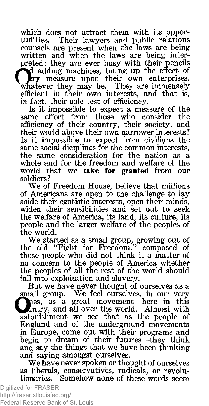which does not attract them with its opportunities. Their lawyers and public relations Their lawyers and public relations counsels are present when the laws are being written and when the laws are being interpreted; they are ever busy with their pencils adding machines, toting up the effect of ery measure upon their own enterprises, Whatever they may be. They are immensely efficient in their own interests, and that is, in fact, their sole test of efficiency.

Is it impossible to expect a measure of the same effort from those who consider the efficiency of their country, their society, and their world above their own narrower interests? Is it impossible to expect from civilians the same social diciplines for the common interests, the same consideration for the nation as a whole and for the freedom and welfare of the world that we **take for granted** from our soldiers?

We of Freedom House, believe that millions of Americans are open to the challenge to lay aside their egotistic interests, open their minds, widen their sensibilities and set out to seek the welfare of America, its land, its culture, its people and the larger welfare of the peoples of the world.

We started as a small group, growing out of the old "Fight for Freedom," composed of those people who did not think it a matter of no concern to the people of America whether the peoples of all the rest of the world should fall into exploitation and slavery.

But we have never thought of ourselves as a small group. We feel ourselves, in our very hes, as a great movement—here in this Antry, and all over the world. Almost with astonishment we see that as the people of England and of the underground movements in Europe, come out with their programs and begin to dream of their futures—-they think and say the things that we have been thinking and saying amongst ourselves.

We have never spoken or thought of ourselves as liberals, conservatives, radicals, or revolutionaries. Somehow none of these words seem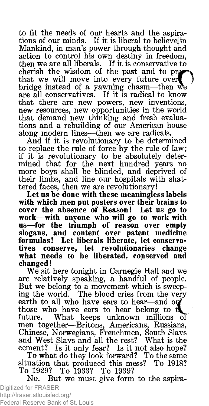to fit the needs of our hearts and the aspirations of our minds. If it is liberal to believel in Mankind, in man's power through thought and action to control his own destiny in freedom, then we are all liberals. If it is conservative to cherish the wisdom of the past and to pra that we will move into every future over bridge instead of a yawning chasm—then we are all conservatives. If it is radical to know that there are new powers, new inventions, new resources, new opportunities in the world that demand new thinking and fresh evaluations and a rebuilding of our American house along modern lines—then we are radicals.

And if it is revolutionary to be determined to replace the rule of force by the rule of law; if it is revolutionary to be absolutely determined that for the next hundred years no more boys shall be blinded, and deprived of their limbs, and line our hospitals with shattered faces, then we are revolutionary!

Let us be done with these meaningless labels with which men put posters over their brains to cover the absence of Reason! Let us go to work—with anyone who will go to work with us—for the triumph of reason over empty slogans, and content over patent medicine formulas! Let liberals liberate, let conservatives conserve, let revolutionaries change what needs to be liberated, conserved and changed!

We sit here tonight in Carnegie Hall and we are relatively speaking, a handful of people. But we belong to a movement which is sweeping the world. The blood cries from the very earth to all who have ears to hear—and on those who have ears to hear belong to *vL* future. What keeps unknown millions oi men together—Britons, Americans, Russians, Chinese, Norwegians, Frenchmen, South Slavs and West Slavs and all the rest? What is the cement? Is it only fear? Is it not also hope? To what do they look forward? To the same situation that produced this mess? To 1918?

To 1929? To 1933? To 1939?

No. But we must give form to the aspira-Digitized for FRASER http://fraser.stlouisfed.org/

Federal Reserve Bank of St. Louis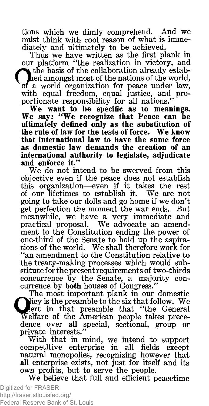tions which we dimly comprehend. And we must think with cool reason of what is immediately and ultimately to be achieved.

Thus we have written as the first plank in our platform "the realization in victory, and  $\bullet$  the basis of the collaboration already estabhed amongst most of the nations of the world, of a world organization for peace under law, with equal freedom, equal justice, and proportionate responsibility for all nations."

We want to be specific as to meanings. We say: "We recognize that Peace can be ultimately defined only as the substitution of the rule of law for the tests of force. We know that international law to have the same force as domestic law demands the creation of an international authority to legislate, adjudicate and enforce it."

We do not intend to be swerved from this objective even if the peace does not establish this organization— even if it takes the rest of our lifetimes to establish it. We are not going to take our dolls and go home if we don't get perfection the moment the war ends. But meanwhile, we have a very immediate and practical proposal. We advocate an amendment to the Constitution ending the power of one-third of the Senate to hold up the aspirations of the world. We shall therefore work for "an amendment to the Constitution relative to the treaty-making processes which would substitute for the present requirements of two-thirds concurrence by the Senate, a majority concurrence by both houses of Congress."

The most important plank in our domestic Nicy is the preamble to the six that follow. We sert in that preamble that "the General Welfare of the American people takes precedence over all special, sectional, group or private interests."

With that in mind, we intend to support competitive enterprise in all fields except natural monopolies, recognizing however that all enterprise exists, not just for itself and its own profits, but to serve the people.

We believe that full and efficient peacetime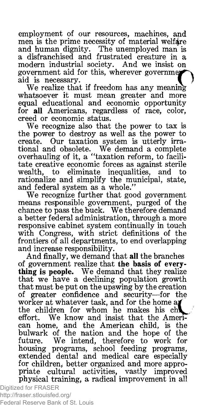employment of our resources, machines, and men is the prime necessity of material welfare and human dignity. The unemployed man is a disfranchised and frustrated creature in a modern industrial society. And we insist on government aid for this, wherever governm aid is necessary.

We realize that if freedom has any meaning whatsoever it must mean greater and more equal educational and economic opportunity for all Americans, regardless of race, color, creed or economic status.

We recognize also that the power to tax is the power to destroy as well as the power to create. Our taxation system is utterly irrational and obsolete. We demand a complete overhauling of it, a " taxation reform, to facilitate creative economic forces as against sterile wealth, to eliminate inequalities, and to rationalize and simplify the municipal, state, and federal system as a whole."

We recognize further that good government means responsible government, purged of the chance to pass the buck. We therefore demand a better federal administration, through a more responsive cabinet system continually in touch with Congress, with strict definitions of the frontiers of all departments, to end overlapping and increase responsibility.

And finally, we demand that all the branches of government realize that the basis of everything is people. We demand that they realize that we have a declining population growth that must be put on the upswing by the creation of greater confidence and security—for the worker at whatever task, and for the home  $a$ the children for whom he makes his ch effort. We know and insist that the American home, and the American child, is the bulwark of the nation and the hope of the future. We intend, therefore to work for housing programs, school feeding programs, extended dental and medical care especially for children, better organized and more appropriate cultural activities, vastly improved physical training, a radical improvement in all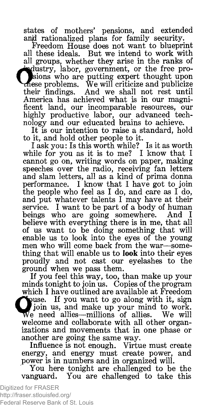states of mothers' pensions, and extended anjd rationalized plans for family security.

Freedom House does not want to blueprint all these ideals. But we intend to work with all groups, whether they arise in the ranks of ^ulustry, labor, government, or the free pro-I jsions who are putting expert thought upon >mese problems. We will criticize and publicize their findings. And we shall not rest until America has achieved what is in our magnificent land, our incomparable resources, our highly productive labor, our advanced technology and our educated brains to achieve.

It is our intention to raise a standard, hold to it, and hold other people to it.

I ask you: Is this worth while? Is it as worth while for you as it is to me? I know that I cannot go on, writing words on paper, making speeches over the radio, receiving fan letters and slam letters, all as a kind of prima donna performance. I know that I have got to join the people who feel as I do, and care as I do, and put whatever talents I may have at their service. I want to be part of a body of human beings who are going somewhere. And I believe with everything there is in me, that all of us want to be doing something that will enable us to look into the eyes of the young men who will come back from the war—something that will enable us to **look** into their eyes proudly and not cast our eyelashes to the ground when we pass them.

If you feel this way, too, than make up your minds tonight to join us. Copies of the program which I have outlined are available at Freedom **Fouse.** If you want to go along with it, sign join us, and make up your mind to work. vVe need allies—millions of allies. We will welcome and collaborate with all other organizations and movements that in one phase or another are going the same way.

Influence is not enough. Virtue must create energy, and energy must create power, and power is in numbers and in organized will.

You here tonight are challenged to be the vanguard. You are challenged to take this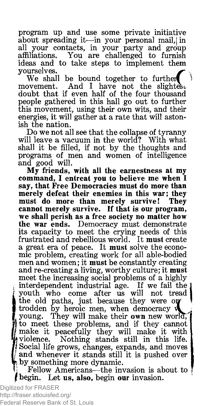program up and use some private initiative about spreading it—in your personal mail, in all your contacts, in your party and group affiliations. You are challenged to furnish ideas and to take steps to implement them yourselves.

We shall be bound together to further<br>movement. And I have not the slighte And I have not the slightes doubt that if even half of the four thousand people gathered in this hall go out to further this movement, using their own wits, and their energies, it will gather at a rate that will astonish the nation.

Do we not all see that the collapse of tyranny will leave a vacuum in the world? With what shall it be filled, if not by the thoughts and programs of men and women of intelligence and good will.

My friends, with all the earnestness at my command, I entreat you to believe me when I say, that Free Democracies must do more than merely defeat their enemies in this war; they must do more than merely survive! They cannot merely survive. If that is our program, we shall perish as a free society no matter how the war ends. Democracy must demonstrate its capacity to meet the crying needs of this frustrated and rebellious world. It must create a great era of peace. It must solve the economic problem, creating work for all able-bodied men and women; it must be constantly creating and re-creating a living, worthy culture; it must meet the increasing social problems of a highly interdependent industrial age. If we fail the youth who come after us will not tread the old paths, just because they were on trodden by heroic men, when democracy  $\mathbf w$ young. They will make their own new world, to meet these problems, and if they cannot make it peacefully they will make it with wiolence. Nothing stands still in this life. I Social life grows, changes, expands, and moves | and whenever it stands still it is pushed over by something more dynamic.

Fellow Americans—the invasion is about to | begin. Let us, also, begin our invasion.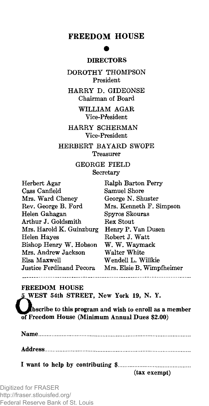#### **FREEDOM HOUSE**

#### **• DIRECTORS**

DOROTHY THOMPSON President

HARRY D. GIDEONSE Chairman of Board

> WILLIAM AGAR Vice-President

HARRY SCHERMAN Vice-President

HERBERT BAYARD SWOPE Treasurer

> **GEORGE FIELD** Secretary

| Herbert Agar             | Ralph Barton Perry        |
|--------------------------|---------------------------|
| Cass Canfield            | Samuel Shore              |
| Mrs. Ward Cheney         | George N. Shuster         |
| Rev. George B. Ford      | Mrs. Kenneth F. Simpson   |
| Helen Gahagan            | Spyros Skouras            |
| Arthur J. Goldsmith      | Rex Stout                 |
| Mrs. Harold K. Guinzburg | Henry P. Van Dusen        |
| Helen Hayes              | Robert J. Watt            |
| Bishop Henry W. Hobson   | W. W. Waymack             |
| Mrs. Andrew Jackson      | Walter White              |
| Elsa Maxwell             | Wendell L. Willkie        |
| Justice Ferdinand Pecora | Mrs. Elsie B. Wimpfheimer |
|                          |                           |

FREEDOM HOUSE

5 WEST 54th STREET, New York 19, N.Y.

bscribe to this program and wish to enroll as a member of Freedom House (Minimum Annual Dues \$2.00)

Name.................................................................................................. Address.............................................................................................. I want to help by contributing \$.................................. (tax exempt)